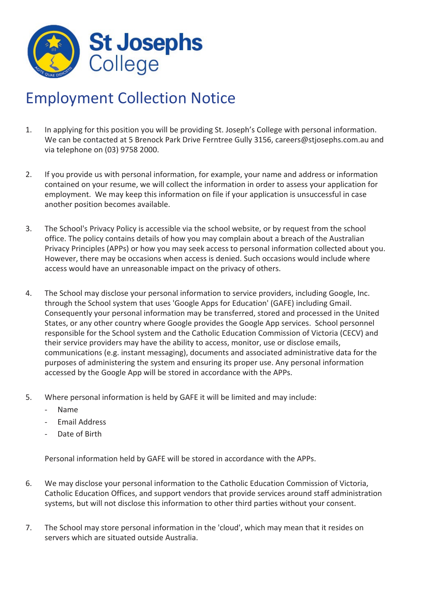

## Employment Collection Notice

- 1. In applying for this position you will be providing St. Joseph's College with personal information. We can be contacted at 5 Brenock Park Drive Ferntree Gully 3156, careers@stjosephs.com.au and via telephone on (03) 9758 2000.
- 2. If you provide us with personal information, for example, your name and address or information contained on your resume, we will collect the information in order to assess your application for employment. We may keep this information on file if your application is unsuccessful in case another position becomes available.
- 3. The School's Privacy Policy is accessible via the school website, or by request from the school office. The policy contains details of how you may complain about a breach of the Australian Privacy Principles (APPs) or how you may seek access to personal information collected about you. However, there may be occasions when access is denied. Such occasions would include where access would have an unreasonable impact on the privacy of others.
- 4. The School may disclose your personal information to service providers, including Google, Inc. through the School system that uses 'Google Apps for Education' (GAFE) including Gmail. Consequently your personal information may be transferred, stored and processed in the United States, or any other country where Google provides the Google App services. School personnel responsible for the School system and the Catholic Education Commission of Victoria (CECV) and their service providers may have the ability to access, monitor, use or disclose emails, communications (e.g. instant messaging), documents and associated administrative data for the purposes of administering the system and ensuring its proper use. Any personal information accessed by the Google App will be stored in accordance with the APPs.
- 5. Where personal information is held by GAFE it will be limited and may include:
	- ‐ Name
	- ‐ Email Address
	- Date of Birth

Personal information held by GAFE will be stored in accordance with the APPs.

- 6. We may disclose your personal information to the Catholic Education Commission of Victoria, Catholic Education Offices, and support vendors that provide services around staff administration systems, but will not disclose this information to other third parties without your consent.
- 7. The School may store personal information in the 'cloud', which may mean that it resides on servers which are situated outside Australia.